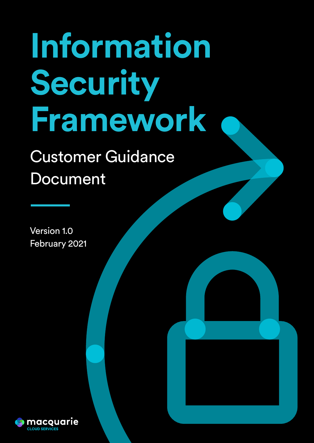# **Information Security Framework**

CPS 234 Compliance Statement

Commercial in confidence Page 1

# Customer Guidance Document

Version 1.0 February 2021

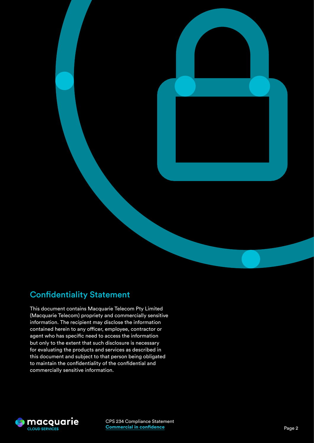

# Confidentiality Statement

This document contains Macquarie Telecom Pty Limited (Macquarie Telecom) propriety and commercially sensitive information. The recipient may disclose the information contained herein to any officer, employee, contractor or agent who has specific need to access the information but only to the extent that such disclosure is necessary for evaluating the products and services as described in this document and subject to that person being obligated to maintain the confidentiality of the confidential and commercially sensitive information.

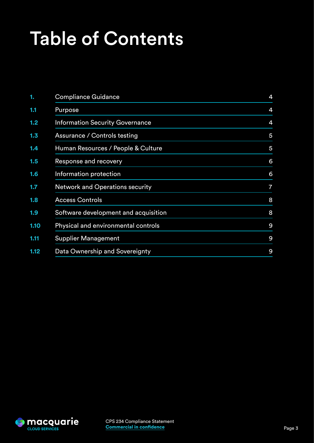# Table of Contents

| 1.   | <b>Compliance Guidance</b>             | 4              |
|------|----------------------------------------|----------------|
| 1.1  | Purpose                                | 4              |
| 1.2  | <b>Information Security Governance</b> | 4              |
| 1.3  | Assurance / Controls testing           | $\overline{5}$ |
| 1.4  | Human Resources / People & Culture     | 5              |
| 1.5  | Response and recovery                  | 6              |
| 1.6  | Information protection                 | 6              |
| 1.7  | <b>Network and Operations security</b> | $\overline{7}$ |
| 1.8  | <b>Access Controls</b>                 | 8              |
| 1.9  | Software development and acquisition   | 8              |
| 1.10 | Physical and environmental controls    | 9              |
| 1.11 | <b>Supplier Management</b>             | 9              |
| 1.12 | Data Ownership and Sovereignty         | 9              |

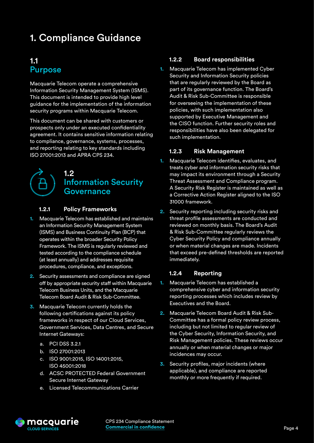# <span id="page-3-0"></span>1. Compliance Guidance

### 1.1 Purpose

Macquarie Telecom operate a comprehensive Information Security Management System (ISMS). This document is intended to provide high level guidance for the implementation of the information security programs within Macquarie Telecom.

This document can be shared with customers or prospects only under an executed confidentiality agreement. It contains sensitive information relating to compliance, governance, systems, processes, and reporting relating to key standards including ISO 27001:2013 and APRA CPS 234.

# 1.2 Information Security Governance

#### **1.2.1 Policy Frameworks**

- **1.** Macquarie Telecom has established and maintains an Information Security Management System (ISMS) and Business Continuity Plan (BCP) that operates within the broader Security Policy Framework. The ISMS is regularly reviewed and tested according to the compliance schedule (at least annually) and addresses requisite procedures, compliance, and exceptions.
- **2.** Security assessments and compliance are signed off by appropriate security staff within Macquarie Telecom Business Units, and the Macquarie Telecom Board Audit & Risk Sub-Committee.
- **3.** Macquarie Telecom currently holds the following certifications against its policy frameworks in respect of our Cloud Services, Government Services, Data Centres, and Secure Internet Gateways:
	- a. PCI DSS 3.2.1
	- b. ISO 27001:2013
	- c. ISO 9001:2015, ISO 14001:2015, ISO 45001:2018
	- d. ACSC PROTECTED Federal Government Secure Internet Gateway
	- e. Licensed Telecommunications Carrier

#### **1.2.2 Board responsibilities**

**1.** Macquarie Telecom has implemented Cyber Security and Information Security policies that are regularly reviewed by the Board as part of its governance function. The Board's Audit & Risk Sub-Committee is responsible for overseeing the implementation of these policies, with such implementation also supported by Executive Management and the CISO function. Further security roles and responsibilities have also been delegated for such implementation.

#### **1.2.3 Risk Management**

- **1.** Macquarie Telecom identifies, evaluates, and treats cyber and information security risks that may impact its environment through a Security Threat Assessment and Compliance program. A Security Risk Register is maintained as well as a Corrective Action Register aligned to the ISO 31000 framework.
- **2.** Security reporting including security risks and threat profile assessments are conducted and reviewed on monthly basis. The Board's Audit & Risk Sub-Committee regularly reviews the Cyber Security Policy and compliance annually or when material changes are made. Incidents that exceed pre-defined thresholds are reported immediately.

#### **1.2.4 Reporting**

- **1.** Macquarie Telecom has established a comprehensive cyber and information security reporting processes which includes review by Executives and the Board.
- **2.** Macquarie Telecom Board Audit & Risk Sub-Committee has a formal policy review process, including but not limited to regular review of the Cyber Security, Information Security, and Risk Management policies. These reviews occur annually or when material changes or major incidences may occur.
- **3.** Security profiles, major incidents (where applicable), and compliance are reported monthly or more frequently if required.

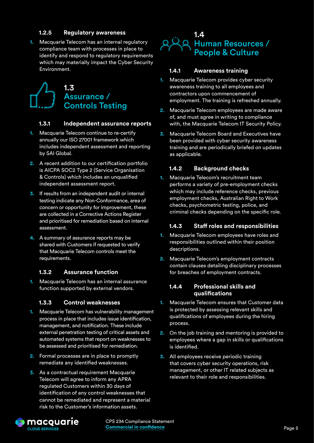#### **1.2.5 Regulatory awareness**

<span id="page-4-0"></span>**1.** Macquarie Telecom has an internal regulatory compliance team with processes in place to identify and respond to regulatory requirements which may materially impact the Cyber Security Environment.

## 1.3 Assurance / Controls Testing

#### **1.3.1 Independent assurance reports**

- **1.** Macquarie Telecom continue to re-certify annually our ISO 27001 framework which includes independent assessment and reporting by SAI Global.
- **2.** A recent addition to our certification portfolio is AICPA SOC2 Type 2 (Service Organisation & Controls) which includes an unqualified independent assessment report.
- **3.** If results from an independent audit or internal testing indicate any Non-Conformance, area of concern or opportunity for improvement, these are collected in a Corrective Actions Register and prioritised for remediation based on internal assessment.
- **4.** A summary of assurance reports may be shared with Customers if requested to verify that Macquarie Telecom controls meet the requirements.

#### **1.3.2 Assurance function**

**1.** Macquarie Telecom has an internal assurance function supported by external vendors.

#### **1.3.3 Control weaknesses**

- **1.** Macquarie Telecom has vulnerability management process in place that includes issue identification, management, and notification. These include external penetration testing of critical assets and automated systems that report on weaknesses to be assessed and prioritised for remediation.
- **2.** Formal processes are in place to promptly remediate any identified weaknesses.
- **3.** As a contractual requirement Macquarie Telecom will agree to inform any APRA regulated Customers within 30 days of identification of any control weaknesses that cannot be remediated and represent a material risk to the Customer's information assets.



#### **1.4.1 Awareness training**

- **1.** Macquarie Telecom provides cyber security awareness training to all employees and contractors upon commencement of employment. The training is refreshed annually.
- **2.** Macquarie Telecom employees are made aware of, and must agree in writing to compliance with, the Macquarie Telecom IT Security Policy.
- **3.** Macquarie Telecom Board and Executives have been provided with cyber security awareness training and are periodically briefed on updates as applicable.

#### **1.4.2 Background checks**

**1.** Macquarie Telecom's recruitment team performs a variety of pre-employment checks which may include reference checks, previous employment checks, Australian Right to Work checks, psychometric testing, police, and criminal checks depending on the specific role.

#### **1.4.3 Staff roles and responsibilities**

- **1.** Macquarie Telecom employees have roles and responsibilities outlined within their position descriptions.
- **2.** Macquarie Telecom's employment contracts contain clauses detailing disciplinary processes for breaches of employment contracts.

#### **1.4.4 Professional skills and qualifications**

- **1.** Macquarie Telecom ensures that Customer data is protected by assessing relevant skills and qualifications of employees during the hiring process.
- **2.** On the job training and mentoring is provided to employees where a gap in skills or qualifications is identified.
- **3.** All employees receive periodic training that covers cyber security operations, risk management, or other IT related subjects as relevant to their role and responsibilities.



CPS 234 Compliance Statement **Commercial in confidence Example 2 and 2 and 2 and 2 and 2 and 2 and 2 and 2 and 2 and 2 and 2 and 2 and 2 and 3 and 3 and 4 and 4 and 4 and 4 and 4 and 4 and 4 and 4 and 4 and 4 and 4 and 4 and 4 and 4 and 4 and 4 and**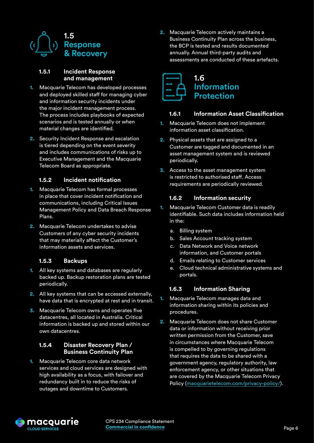<span id="page-5-0"></span>

#### **1.5.1 Incident Response and management**

- **1.** Macquarie Telecom has developed processes and deployed skilled staff for managing cyber and information security incidents under the major incident management process. The process includes playbooks of expected scenarios and is tested annually or when material changes are identified.
- **2.** Security Incident Response and escalation is tiered depending on the event severity and includes communications of risks up to Executive Management and the Macquarie Telecom Board as appropriate.

#### **1.5.2 Incident notification**

- **1.** Macquarie Telecom has formal processes in place that cover incident notification and communications, including Critical Issues Management Policy and Data Breach Response Plans.
- **2.** Macquarie Telecom undertakes to advise Customers of any cyber security incidents that may materially affect the Customer's information assets and services.

#### **1.5.3 Backups**

- **1.** All key systems and databases are regularly backed up. Backup restoration plans are tested periodically.
- **2.** All key systems that can be accessed externally, have data that is encrypted at rest and in transit.
- **3.** Macquarie Telecom owns and operates five datacentres, all located in Australia. Critical information is backed up and stored within our own datacentres.

#### **1.5.4 Disaster Recovery Plan / Business Continuity Plan**

**1.** Macquarie Telecom core data network services and cloud services are designed with high availability as a focus, with failover and redundancy built in to reduce the risks of outages and downtime to Customers.

**2.** Macquarie Telecom actively maintains a Business Continuity Plan across the business, the BCP is tested and results documented annually. Annual third-party audits and assessments are conducted of these artefacts.



#### **1.6.1 Information Asset Classification**

- **1.** Macquarie Telecom does not implement information asset classification.
- **2.** Physical assets that are assigned to a Customer are tagged and documented in an asset management system and is reviewed periodically.
- **3.** Access to the asset management system is restricted to authorised staff. Access requirements are periodically reviewed.

#### **1.6.2 Information security**

- **1.** Macquarie Telecom Customer data is readily identifiable. Such data includes information held in the:
	- a. Billing system
	- b. Sales Account tracking system
	- c. Data Network and Voice network information, and Customer portals
	- d. Emails relating to Customer services
	- e. Cloud technical administrative systems and portals.

#### **1.6.3 Information Sharing**

- **1.** Macquarie Telecom manages data and information sharing within its policies and procedures.
- **2.** Macquarie Telecom does not share Customer data or information without receiving prior written permission from the Customer, save in circumstances where Macquarie Telecom is compelled to by governing regulations that requires the data to be shared with a government agency, regulatory authority, law enforcement agency, or other situations that are covered by the Macquarie Telecom Privacy Policy ([macquarietelecom.com/privacy-policy/](http://macquarietelecom.com/privacy-policy/)).

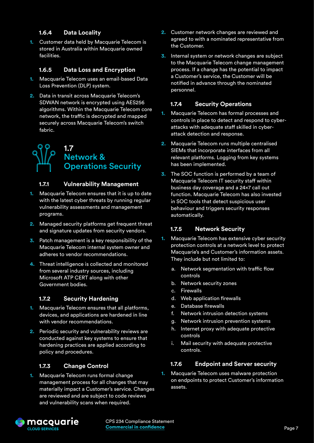#### **1.6.4 Data Locality**

<span id="page-6-0"></span>**1.** Customer data held by Macquarie Telecom is stored in Australia within Macquarie owned facilities.

#### **1.6.5 Data Loss and Encryption**

- **1.** Macquarie Telecom uses an email-based Data Loss Prevention (DLP) system.
- **2.** Data in transit across Macquarie Telecom's SDWAN network is encrypted using AES256 algorithms. Within the Macquarie Telecom core network, the traffic is decrypted and mapped securely across Macquarie Telecom's switch fabric.

# 1.7 Network & Operations Security

#### **1.7.1 Vulnerability Management**

- **1.** Macquarie Telecom ensures that it is up to date with the latest cyber threats by running regular vulnerability assessments and management programs.
- **2.** Managed security platforms get frequent threat and signature updates from security vendors.
- **3.** Patch management is a key responsibility of the Macquarie Telecom internal system owner and adheres to vendor recommendations.
- **4.** Threat intelligence is collected and monitored from several industry sources, including Microsoft ATP CERT along with other Government bodies.

#### **1.7.2 Security Hardening**

- **1.** Macquarie Telecom ensures that all platforms, devices, and applications are hardened in line with vendor recommendations.
- **2.** Periodic security and vulnerability reviews are conducted against key systems to ensure that hardening practices are applied according to policy and procedures.

#### **1.7.3 Change Control**

**1.** Macquarie Telecom runs formal change management process for all changes that may materially impact a Customer's service. Changes are reviewed and are subject to code reviews and vulnerability scans when required.

- **2.** Customer network changes are reviewed and agreed to with a nominated representative from the Customer.
- **3.** Internal system or network changes are subject to the Macquarie Telecom change management process. If a change has the potential to impact a Customer's service, the Customer will be notified in advance through the nominated personnel.

#### **1.7.4 Security Operations**

- **1.** Macquarie Telecom has formal processes and controls in place to detect and respond to cyberattacks with adequate staff skilled in cyberattack detection and response.
- **2.** Macquarie Telecom runs multiple centralised SIEMs that incorporate interfaces from all relevant platforms. Logging from key systems has been implemented.
- **3.** The SOC function is performed by a team of Macquarie Telecom IT security staff within business day coverage and a 24x7 call out function. Macquarie Telecom has also invested in SOC tools that detect suspicious user behaviour and triggers security responses automatically.

#### **1.7.5 Network Security**

- **1.** Macquarie Telecom has extensive cyber security protection controls at a network level to protect Macquarie's and Customer's information assets. They include but not limited to:
	- a. Network segmentation with traffic flow controls
	- b. Network security zones
	- c. Firewalls
	- d. Web application firewalls
	- e. Database firewalls
	- f. Network intrusion detection systems
	- g. Network intrusion prevention systems
	- h. Internet proxy with adequate protective controls
	- i. Mail security with adequate protective controls.

#### **1.7.6 Endpoint and Server security**

**1.** Macquarie Telecom uses malware protection on endpoints to protect Customer's information assets.

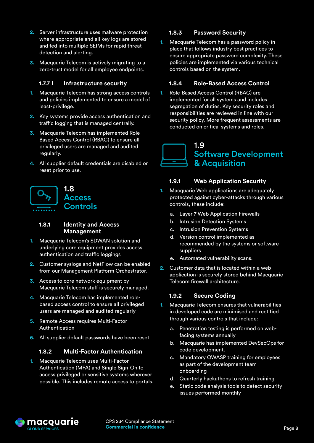- <span id="page-7-0"></span>**2.** Server infrastructure uses malware protection where appropriate and all key logs are stored and fed into multiple SEIMs for rapid threat detection and alerting.
- **3.** Macquarie Telecom is actively migrating to a zero-trust model for all employee endpoints.

#### **1.7.7 I Infrastructure security**

- **1.** Macquarie Telecom has strong access controls and policies implemented to ensure a model of least-privilege.
- **2.** Key systems provide access authentication and traffic logging that is managed centrally.
- **3.** Macquarie Telecom has implemented Role Based Access Control (RBAC) to ensure all privileged users are managed and audited regularly.
- **4.** All supplier default credentials are disabled or reset prior to use.



#### **1.8.1 Identity and Access Management**

- **1.** Macquarie Telecom's SDWAN solution and underlying core equipment provides access authentication and traffic loggings
- **2.** Customer syslogs and NetFlow can be enabled from our Management Platform Orchestrator.
- **3.** Access to core network equipment by Macquarie Telecom staff is securely managed.
- **4.** Macquarie Telecom has implemented rolebased access control to ensure all privileged users are managed and audited regularly
- **5.** Remote Access requires Multi-Factor Authentication
- **6.** All supplier default passwords have been reset

#### **1.8.2 Multi-Factor Authentication**

**1.** Macquarie Telecom uses Multi-Factor Authentication (MFA) and Single Sign-On to access privileged or sensitive systems wherever possible. This includes remote access to portals.

#### **1.8.3 Password Security**

**1.** Macquarie Telecom has a password policy in place that follows industry best practices to ensure appropriate password complexity. These policies are implemented via various technical controls based on the system.

#### **1.8.4 Role-Based Access Control**

**1.** Role-Based Access Control (RBAC) are implemented for all systems and includes segregation of duties. Key security roles and responsibilities are reviewed in line with our security policy. More frequent assessments are conducted on critical systems and roles.



#### **1.9.1 Web Application Security**

- **1.** Macquarie Web applications are adequately protected against cyber-attacks through various controls, these include:
	- a. Layer 7 Web Application Firewalls
	- b. Intrusion Detection Systems
	- c. Intrusion Prevention Systems
	- d. Version control implemented as recommended by the systems or software suppliers
	- e. Automated vulnerability scans.
- **2.** Customer data that is located within a web application is securely stored behind Macquarie Telecom firewall architecture.

#### **1.9.2 Secure Coding**

- **1.** Macquarie Telecom ensures that vulnerabilities in developed code are minimised and rectified through various controls that include:
	- a. Penetration testing is performed on webfacing systems annually
	- b. Macquarie has implemented DevSecOps for code development.
	- c. Mandatory OWASP training for employees as part of the development team onboarding
	- d. Quarterly hackathons to refresh training
	- e. Static code analysis tools to detect security issues performed monthly

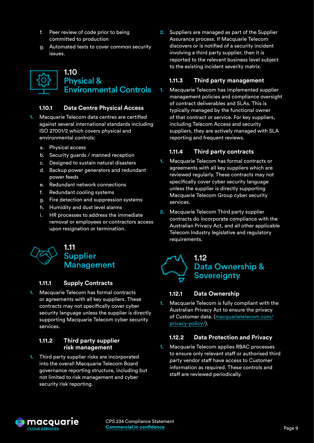- <span id="page-8-0"></span>f. Peer review of code prior to being committed to production
- g. Automated tests to cover common security issues.



#### **1.10.1 Data Centre Physical Access**

- **1.** Macquarie Telecom data centres are certified against several international standards including ISO 27001/2 which covers physical and environmental controls:
	- a. Physical access
	- b. Security guards / manned reception
	- c. Designed to sustain natural disasters
	- d. Backup power generators and redundant power feeds
	- e. Redundant network connections
	- f. Redundant cooling systems
	- g. Fire detection and suppression systems
	- h. Humidity and dust level alarms
	- i. HR processes to address the immediate removal or employees or contractors access upon resignation or termination.



#### **1.11.1 Supply Contracts**

**1.** Macquarie Telecom has formal contracts or agreements with all key suppliers. These contracts may not specifically cover cyber security language unless the supplier is directly supporting Macquarie Telecom cyber security services.

#### **1.11.2 Third party supplier risk management**

**1.** Third party supplier risks are incorporated into the overall Macquarie Telecom Board governance reporting structure, including but not limited to risk management and cyber security risk reporting.

**2.** Suppliers are managed as part of the Supplier Assurance process. If Macquarie Telecom discovers or is notified of a security incident involving a third party supplier, then it is reported to the relevant business level subject to the existing incident severity matrix.

#### **1.11.3 Third party management**

**1.** Macquarie Telecom has implemented supplier management policies and compliance oversight of contract deliverables and SLAs. This is typically managed by the functional owner of that contract or service. For key suppliers, including Telecom Access and security suppliers, they are actively managed with SLA reporting and frequent reviews.

#### **1.11.4 Third party contracts**

- **1.** Macquarie Telecom has formal contracts or agreements with all key suppliers which are reviewed regularly. These contracts may not specifically cover cyber security language unless the supplier is directly supporting Macquarie Telecom Group cyber security services.
- **2.** Macquarie Telecom Third party supplier contracts do incorporate compliance with the Australian Privacy Act, and all other applicable Telecom Industry legislative and regulatory requirements.

## 1.12 Data Ownership & **Sovereignty**

#### **1.12.1 Data Ownership**

**1.** Macquarie Telecom is fully compliant with the Australian Privacy Act to ensure the privacy of Customer data. [\(macquarietelecom.com/](http://macquarietelecom.com/privacy-policy/) [privacy-policy/](http://macquarietelecom.com/privacy-policy/)).

#### **1.12.2 Data Protection and Privacy**

**1.** Macquarie Telecom applies RBAC processes to ensure only relevant staff or authorised third party vendor staff have access to Customer information as required. These controls and staff are reviewed periodically.

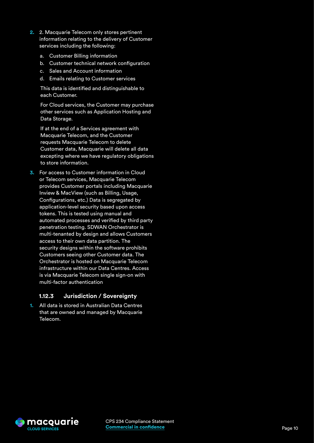- **2.** 2. Macquarie Telecom only stores pertinent information relating to the delivery of Customer services including the following:
	- a. Customer Billing information
	- b. Customer technical network configuration
	- c. Sales and Account information
	- d. Emails relating to Customer services

This data is identified and distinguishable to each Customer.

For Cloud services, the Customer may purchase other services such as Application Hosting and Data Storage.

If at the end of a Services agreement with Macquarie Telecom, and the Customer requests Macquarie Telecom to delete Customer data, Macquarie will delete all data excepting where we have regulatory obligations to store information.

**3.** For access to Customer information in Cloud or Telecom services, Macquarie Telecom provides Customer portals including Macquarie Inview & MacView (such as Billing, Usage, Configurations, etc.) Data is segregated by application-level security based upon access tokens. This is tested using manual and automated processes and verified by third party penetration testing. SDWAN Orchestrator is multi-tenanted by design and allows Customers access to their own data partition. The security designs within the software prohibits Customers seeing other Customer data. The Orchestrator is hosted on Macquarie Telecom infrastructure within our Data Centres. Access is via Macquarie Telecom single sign-on with multi-factor authentication

#### **1.12.3 Jurisdiction / Sovereignty**

**1.** All data is stored in Australian Data Centres that are owned and managed by Macquarie Telecom.